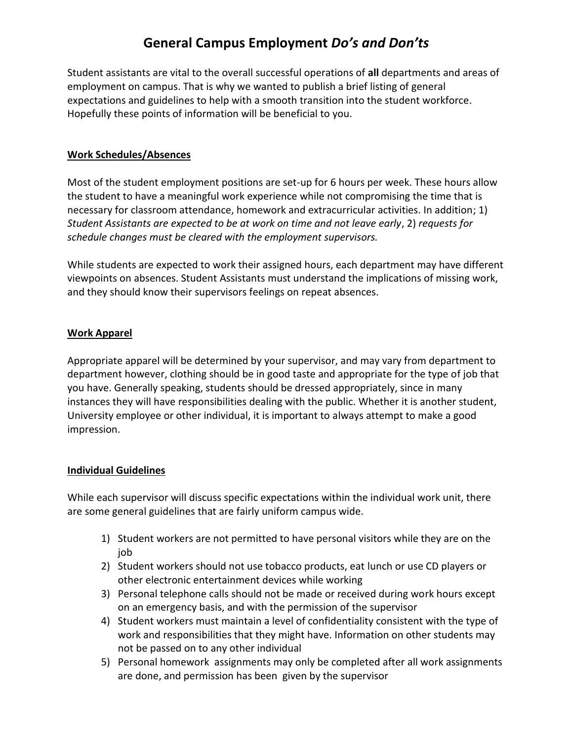# **General Campus Employment** *Do's and Don'ts*

Student assistants are vital to the overall successful operations of **all** departments and areas of employment on campus. That is why we wanted to publish a brief listing of general expectations and guidelines to help with a smooth transition into the student workforce. Hopefully these points of information will be beneficial to you.

#### **Work Schedules/Absences**

Most of the student employment positions are set-up for 6 hours per week. These hours allow the student to have a meaningful work experience while not compromising the time that is necessary for classroom attendance, homework and extracurricular activities. In addition; 1) *Student Assistants are expected to be at work on time and not leave early*, 2) *requests for schedule changes must be cleared with the employment supervisors.*

While students are expected to work their assigned hours, each department may have different viewpoints on absences. Student Assistants must understand the implications of missing work, and they should know their supervisors feelings on repeat absences.

### **Work Apparel**

Appropriate apparel will be determined by your supervisor, and may vary from department to department however, clothing should be in good taste and appropriate for the type of job that you have. Generally speaking, students should be dressed appropriately, since in many instances they will have responsibilities dealing with the public. Whether it is another student, University employee or other individual, it is important to always attempt to make a good impression.

### **Individual Guidelines**

While each supervisor will discuss specific expectations within the individual work unit, there are some general guidelines that are fairly uniform campus wide.

- 1) Student workers are not permitted to have personal visitors while they are on the job
- 2) Student workers should not use tobacco products, eat lunch or use CD players or other electronic entertainment devices while working
- 3) Personal telephone calls should not be made or received during work hours except on an emergency basis, and with the permission of the supervisor
- 4) Student workers must maintain a level of confidentiality consistent with the type of work and responsibilities that they might have. Information on other students may not be passed on to any other individual
- 5) Personal homework assignments may only be completed after all work assignments are done, and permission has been given by the supervisor